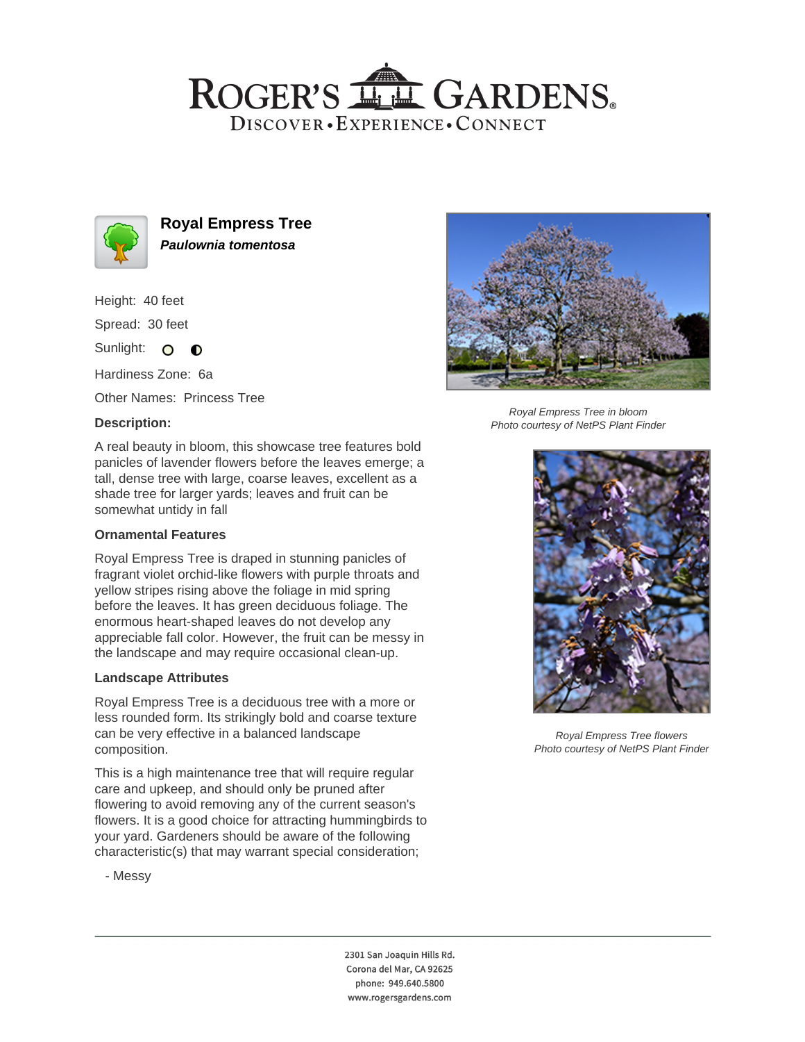## ROGER'S LL GARDENS. DISCOVER · EXPERIENCE · CONNECT



**Royal Empress Tree Paulownia tomentosa**

Height: 40 feet

Spread: 30 feet

Sunlight: O **O** 

Hardiness Zone: 6a

Other Names: Princess Tree

## **Description:**



Photo courtesy of NetPS Plant Finder

A real beauty in bloom, this showcase tree features bold panicles of lavender flowers before the leaves emerge; a tall, dense tree with large, coarse leaves, excellent as a shade tree for larger yards; leaves and fruit can be somewhat untidy in fall

### **Ornamental Features**

Royal Empress Tree is draped in stunning panicles of fragrant violet orchid-like flowers with purple throats and yellow stripes rising above the foliage in mid spring before the leaves. It has green deciduous foliage. The enormous heart-shaped leaves do not develop any appreciable fall color. However, the fruit can be messy in the landscape and may require occasional clean-up.

#### **Landscape Attributes**

Royal Empress Tree is a deciduous tree with a more or less rounded form. Its strikingly bold and coarse texture can be very effective in a balanced landscape composition.

This is a high maintenance tree that will require regular care and upkeep, and should only be pruned after flowering to avoid removing any of the current season's flowers. It is a good choice for attracting hummingbirds to your yard. Gardeners should be aware of the following characteristic(s) that may warrant special consideration;



Royal Empress Tree flowers Photo courtesy of NetPS Plant Finder

- Messy

2301 San Joaquin Hills Rd. Corona del Mar, CA 92625 phone: 949.640.5800 www.rogersgardens.com